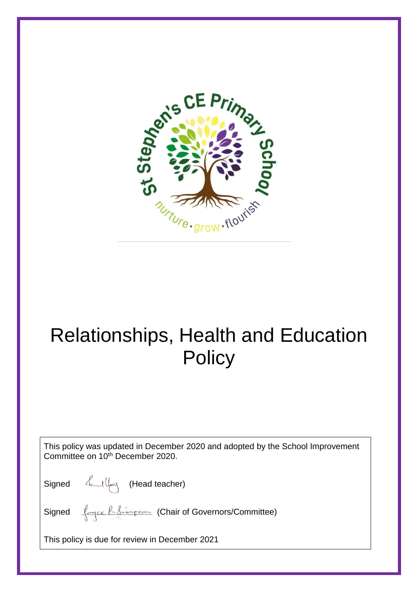

# Relationships, Health and Education **Policy**

This policy was updated in December 2020 and adopted by the School Improvement Committee on 10<sup>th</sup> December 2020.

Signed *(Lead teacher)* 

Signed <u>(April Bridgeson</u> (Chair of Governors/Committee)

This policy is due for review in December 2021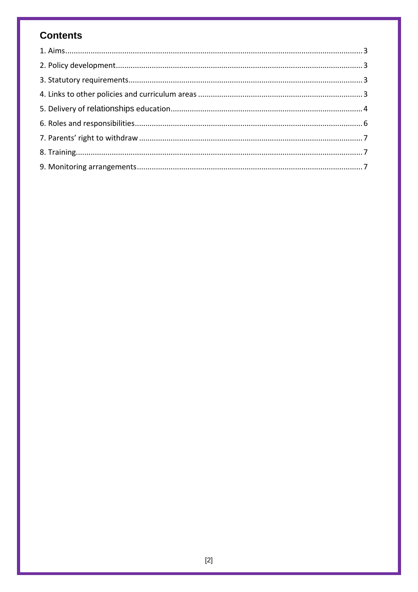# **Contents**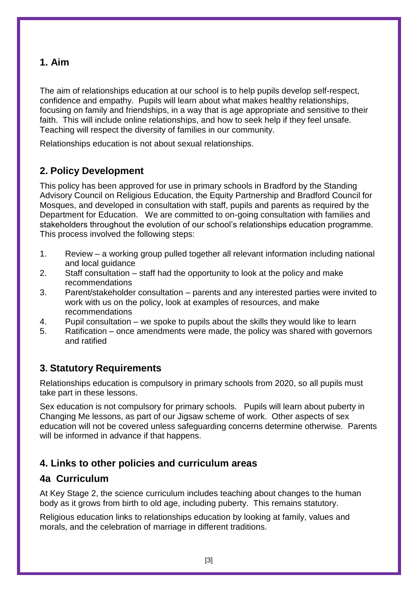#### **1. Aim**

The aim of relationships education at our school is to help pupils develop self-respect, confidence and empathy. Pupils will learn about what makes healthy relationships, focusing on family and friendships, in a way that is age appropriate and sensitive to their faith. This will include online relationships, and how to seek help if they feel unsafe. Teaching will respect the diversity of families in our community.

Relationships education is not about sexual relationships.

## **2. Policy Development**

This policy has been approved for use in primary schools in Bradford by the Standing Advisory Council on Religious Education, the Equity Partnership and Bradford Council for Mosques, and developed in consultation with staff, pupils and parents as required by the Department for Education. We are committed to on-going consultation with families and stakeholders throughout the evolution of our school's relationships education programme. This process involved the following steps:

- 1. Review a working group pulled together all relevant information including national and local guidance
- 2. Staff consultation staff had the opportunity to look at the policy and make recommendations
- 3. Parent/stakeholder consultation parents and any interested parties were invited to work with us on the policy, look at examples of resources, and make recommendations
- 4. Pupil consultation we spoke to pupils about the skills they would like to learn
- 5. Ratification once amendments were made, the policy was shared with governors and ratified

#### **3. Statutory Requirements**

Relationships education is compulsory in primary schools from 2020, so all pupils must take part in these lessons.

Sex education is not compulsory for primary schools. Pupils will learn about puberty in Changing Me lessons, as part of our Jigsaw scheme of work. Other aspects of sex education will not be covered unless safeguarding concerns determine otherwise. Parents will be informed in advance if that happens.

#### **4. Links to other policies and curriculum areas**

#### **4a Curriculum**

At Key Stage 2, the science curriculum includes teaching about changes to the human body as it grows from birth to old age, including puberty. This remains statutory.

Religious education links to relationships education by looking at family, values and morals, and the celebration of marriage in different traditions.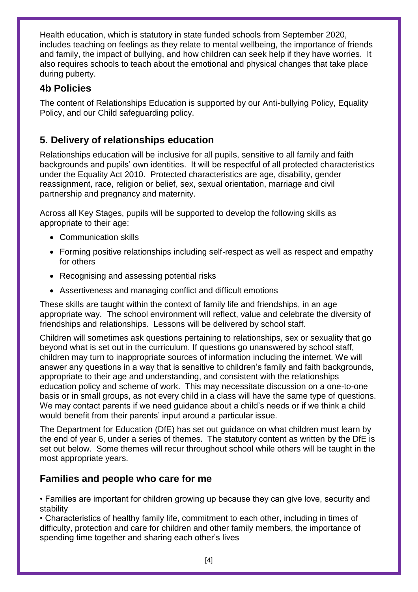Health education, which is statutory in state funded schools from September 2020, includes teaching on feelings as they relate to mental wellbeing, the importance of friends and family, the impact of bullying, and how children can seek help if they have worries. It also requires schools to teach about the emotional and physical changes that take place during puberty.

#### **4b Policies**

The content of Relationships Education is supported by our Anti-bullying Policy, Equality Policy, and our Child safeguarding policy.

#### **5. Delivery of relationships education**

Relationships education will be inclusive for all pupils, sensitive to all family and faith backgrounds and pupils' own identities. It will be respectful of all protected characteristics under the Equality Act 2010. Protected characteristics are age, disability, gender reassignment, race, religion or belief, sex, sexual orientation, marriage and civil partnership and pregnancy and maternity.

Across all Key Stages, pupils will be supported to develop the following skills as appropriate to their age:

- Communication skills
- Forming positive relationships including self-respect as well as respect and empathy for others
- Recognising and assessing potential risks
- Assertiveness and managing conflict and difficult emotions

These skills are taught within the context of family life and friendships, in an age appropriate way. The school environment will reflect, value and celebrate the diversity of friendships and relationships. Lessons will be delivered by school staff.

Children will sometimes ask questions pertaining to relationships, sex or sexuality that go beyond what is set out in the curriculum. If questions go unanswered by school staff, children may turn to inappropriate sources of information including the internet. We will answer any questions in a way that is sensitive to children's family and faith backgrounds, appropriate to their age and understanding, and consistent with the relationships education policy and scheme of work. This may necessitate discussion on a one-to-one basis or in small groups, as not every child in a class will have the same type of questions. We may contact parents if we need guidance about a child's needs or if we think a child would benefit from their parents' input around a particular issue.

The Department for Education (DfE) has set out guidance on what children must learn by the end of year 6, under a series of themes. The statutory content as written by the DfE is set out below. Some themes will recur throughout school while others will be taught in the most appropriate years.

#### **Families and people who care for me**

• Families are important for children growing up because they can give love, security and stability

• Characteristics of healthy family life, commitment to each other, including in times of difficulty, protection and care for children and other family members, the importance of spending time together and sharing each other's lives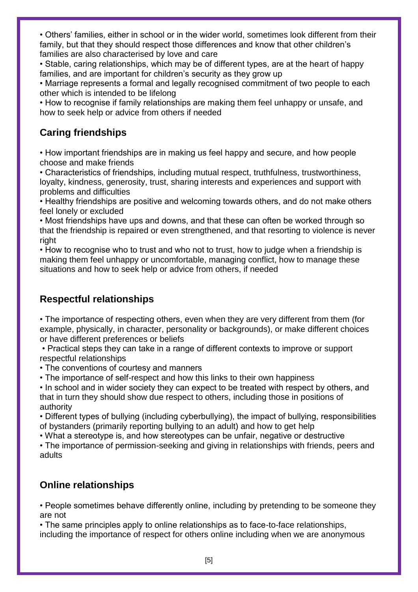• Others' families, either in school or in the wider world, sometimes look different from their family, but that they should respect those differences and know that other children's families are also characterised by love and care

• Stable, caring relationships, which may be of different types, are at the heart of happy families, and are important for children's security as they grow up

• Marriage represents a formal and legally recognised commitment of two people to each other which is intended to be lifelong

• How to recognise if family relationships are making them feel unhappy or unsafe, and how to seek help or advice from others if needed

## **Caring friendships**

• How important friendships are in making us feel happy and secure, and how people choose and make friends

• Characteristics of friendships, including mutual respect, truthfulness, trustworthiness, loyalty, kindness, generosity, trust, sharing interests and experiences and support with problems and difficulties

• Healthy friendships are positive and welcoming towards others, and do not make others feel lonely or excluded

• Most friendships have ups and downs, and that these can often be worked through so that the friendship is repaired or even strengthened, and that resorting to violence is never right

• How to recognise who to trust and who not to trust, how to judge when a friendship is making them feel unhappy or uncomfortable, managing conflict, how to manage these situations and how to seek help or advice from others, if needed

# **Respectful relationships**

• The importance of respecting others, even when they are very different from them (for example, physically, in character, personality or backgrounds), or make different choices or have different preferences or beliefs

• Practical steps they can take in a range of different contexts to improve or support respectful relationships

• The conventions of courtesy and manners

• The importance of self-respect and how this links to their own happiness

• In school and in wider society they can expect to be treated with respect by others, and that in turn they should show due respect to others, including those in positions of authority

• Different types of bullying (including cyberbullying), the impact of bullying, responsibilities of bystanders (primarily reporting bullying to an adult) and how to get help

• What a stereotype is, and how stereotypes can be unfair, negative or destructive

• The importance of permission-seeking and giving in relationships with friends, peers and adults

## **Online relationships**

• People sometimes behave differently online, including by pretending to be someone they are not

• The same principles apply to online relationships as to face-to-face relationships, including the importance of respect for others online including when we are anonymous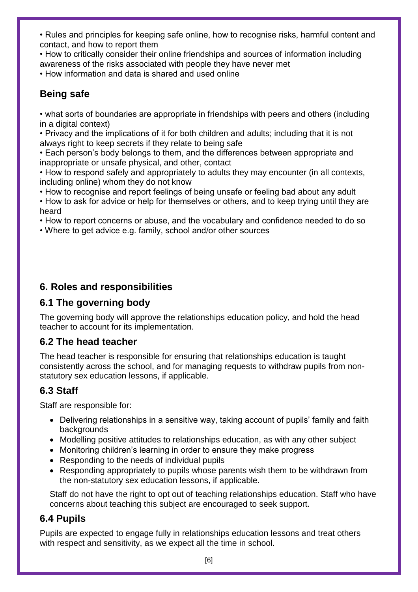• Rules and principles for keeping safe online, how to recognise risks, harmful content and contact, and how to report them

• How to critically consider their online friendships and sources of information including awareness of the risks associated with people they have never met

• How information and data is shared and used online

## **Being safe**

• what sorts of boundaries are appropriate in friendships with peers and others (including in a digital context)

• Privacy and the implications of it for both children and adults; including that it is not always right to keep secrets if they relate to being safe

• Each person's body belongs to them, and the differences between appropriate and inappropriate or unsafe physical, and other, contact

• How to respond safely and appropriately to adults they may encounter (in all contexts, including online) whom they do not know

• How to recognise and report feelings of being unsafe or feeling bad about any adult

• How to ask for advice or help for themselves or others, and to keep trying until they are heard

• How to report concerns or abuse, and the vocabulary and confidence needed to do so

• Where to get advice e.g. family, school and/or other sources

## **6. Roles and responsibilities**

## **6.1 The governing body**

The governing body will approve the relationships education policy, and hold the head teacher to account for its implementation.

## **6.2 The head teacher**

The head teacher is responsible for ensuring that relationships education is taught consistently across the school, and for managing requests to withdraw pupils from nonstatutory sex education lessons, if applicable.

## **6.3 Staff**

Staff are responsible for:

- Delivering relationships in a sensitive way, taking account of pupils' family and faith backgrounds
- Modelling positive attitudes to relationships education, as with any other subject
- Monitoring children's learning in order to ensure they make progress
- Responding to the needs of individual pupils
- Responding appropriately to pupils whose parents wish them to be withdrawn from the non-statutory sex education lessons, if applicable.

Staff do not have the right to opt out of teaching relationships education. Staff who have concerns about teaching this subject are encouraged to seek support.

#### **6.4 Pupils**

Pupils are expected to engage fully in relationships education lessons and treat others with respect and sensitivity, as we expect all the time in school.